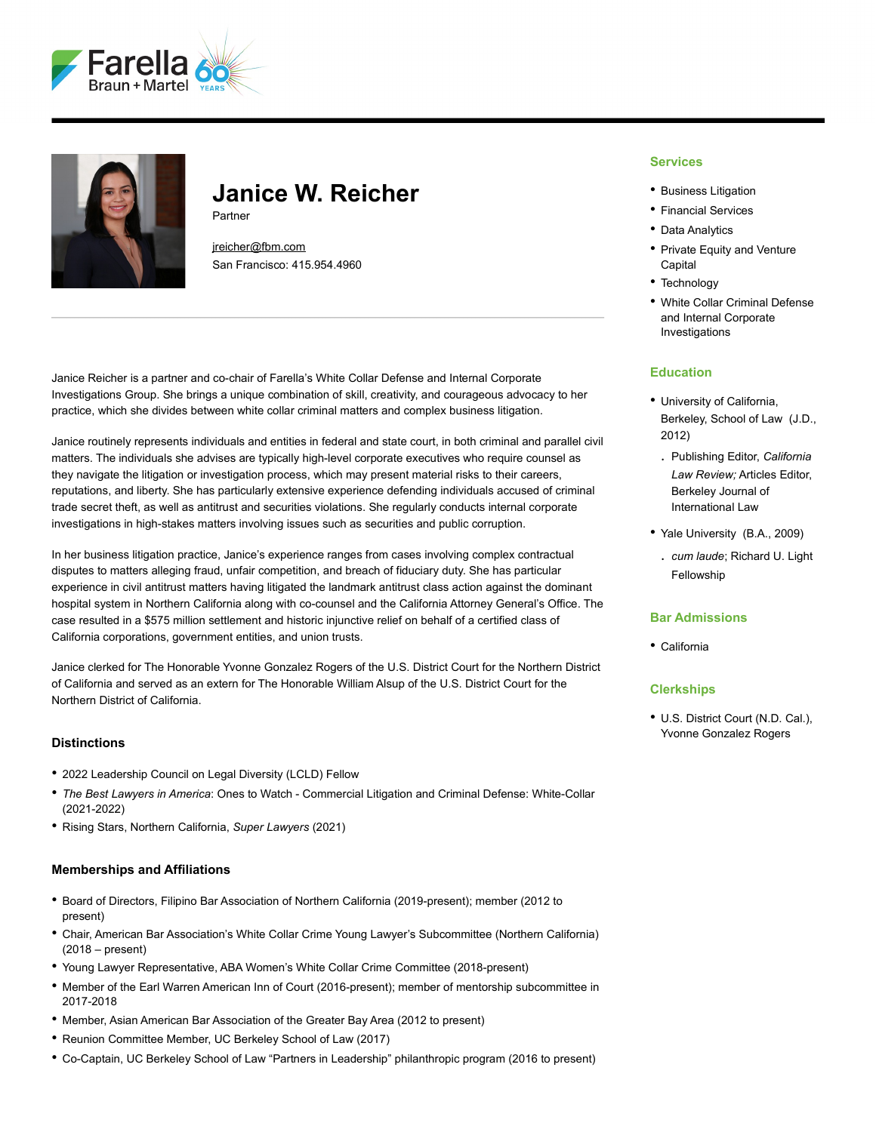



# **Janice W. Reicher**

Partner

[jreicher@fbm.com](mailto:jreicher@fbm.com) San Francisco: 415.954.4960

Janice Reicher is a partner and co-chair of Farella's White Collar Defense and Internal Corporate Investigations Group. She brings a unique combination of skill, creativity, and courageous advocacy to her practice, which she divides between white collar criminal matters and complex business litigation.

Janice routinely represents individuals and entities in federal and state court, in both criminal and parallel civil matters. The individuals she advises are typically high-level corporate executives who require counsel as they navigate the litigation or investigation process, which may present material risks to their careers, reputations, and liberty. She has particularly extensive experience defending individuals accused of criminal trade secret theft, as well as antitrust and securities violations. She regularly conducts internal corporate investigations in high-stakes matters involving issues such as securities and public corruption.

In her business litigation practice, Janice's experience ranges from cases involving complex contractual disputes to matters alleging fraud, unfair competition, and breach of fiduciary duty. She has particular experience in civil antitrust matters having litigated the landmark antitrust class action against the dominant hospital system in Northern California along with co-counsel and the California Attorney General's Office. The case resulted in a \$575 million settlement and historic injunctive relief on behalf of a certified class of California corporations, government entities, and union trusts.

Janice clerked for The Honorable Yvonne Gonzalez Rogers of the U.S. District Court for the Northern District of California and served as an extern for The Honorable William Alsup of the U.S. District Court for the Northern District of California.

### **Distinctions**

- 2022 Leadership Council on Legal Diversity (LCLD) Fellow
- *The Best Lawyers in America*: Ones to Watch Commercial Litigation and Criminal Defense: White-Collar (2021-2022)
- Rising Stars, Northern California, *Super Lawyers* (2021)

### **Memberships and Affiliations**

- Board of Directors, Filipino Bar Association of Northern California (2019-present); member (2012 to present)
- Chair, American Bar Association's White Collar Crime Young Lawyer's Subcommittee (Northern California) (2018 – present)
- Young Lawyer Representative, ABA Women's White Collar Crime Committee (2018-present)
- Member of the Earl Warren American Inn of Court (2016-present); member of mentorship subcommittee in 2017-2018
- Member, Asian American Bar Association of the Greater Bay Area (2012 to present)
- Reunion Committee Member, UC Berkeley School of Law (2017)
- Co-Captain, UC Berkeley School of Law "Partners in Leadership" philanthropic program (2016 to present)

### **Services**

- Business Litigation
- Financial Services
- Data Analytics
- Private Equity and Venture Capital
- Technology
- White Collar Criminal Defense and Internal Corporate Investigations

### **Education**

- University of California, Berkeley, School of Law (J.D., 2012)
- . Publishing Editor, *California Law Review;* Articles Editor, Berkeley Journal of International Law
- Yale University (B.A., 2009)
	- . *cum laude*; Richard U. Light Fellowship

### **Bar Admissions**

• California

### **Clerkships**

• U.S. District Court (N.D. Cal.), Yvonne Gonzalez Rogers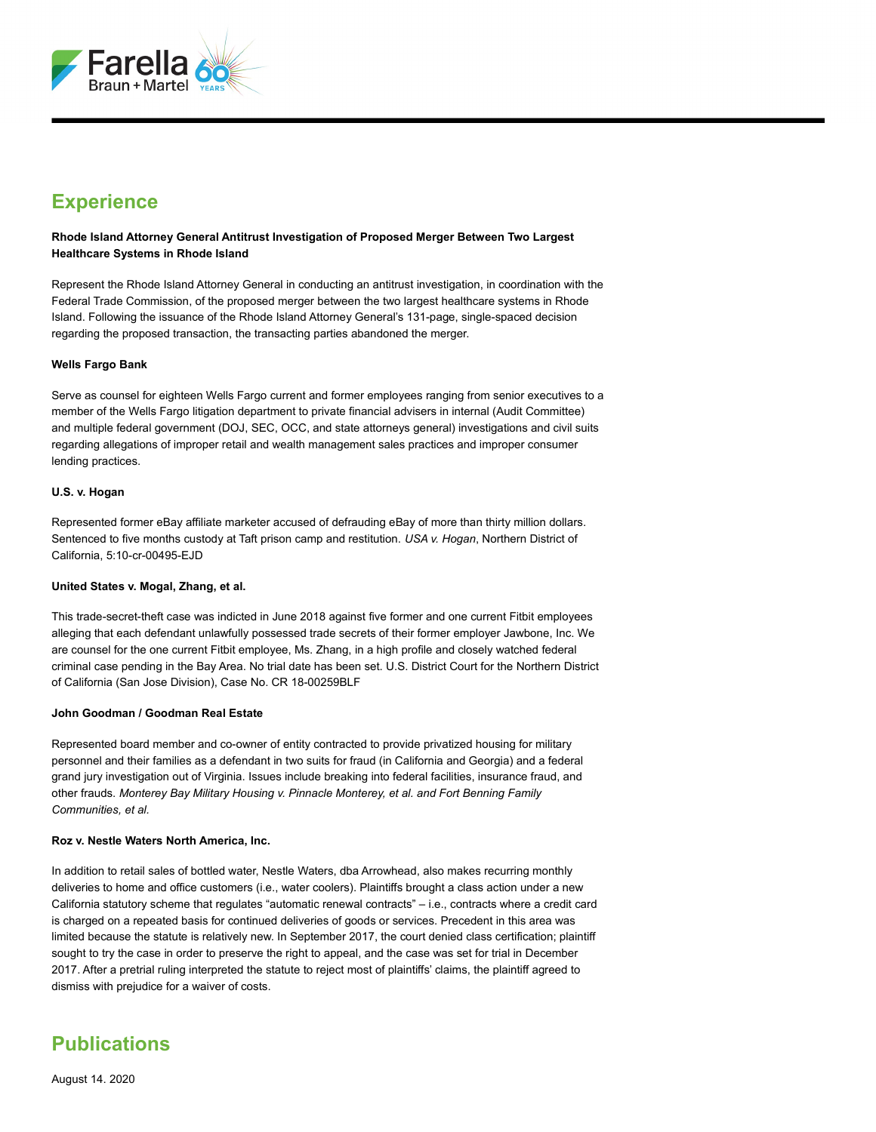

## **Experience**

**Rhode Island Attorney General Antitrust Investigation of Proposed Merger Between Two Largest Healthcare Systems in Rhode Island**

Represent the Rhode Island Attorney General in conducting an antitrust investigation, in coordination with the Federal Trade Commission, of the proposed merger between the two largest healthcare systems in Rhode Island. Following the issuance of the Rhode Island Attorney General's 131-page, single-spaced decision regarding the proposed transaction, the transacting parties abandoned the merger.

### **Wells Fargo Bank**

Serve as counsel for eighteen Wells Fargo current and former employees ranging from senior executives to a member of the Wells Fargo litigation department to private financial advisers in internal (Audit Committee) and multiple federal government (DOJ, SEC, OCC, and state attorneys general) investigations and civil suits regarding allegations of improper retail and wealth management sales practices and improper consumer lending practices.

### **U.S. v. Hogan**

Represented former eBay affiliate marketer accused of defrauding eBay of more than thirty million dollars. Sentenced to five months custody at Taft prison camp and restitution. *USA v. Hogan*, Northern District of California, 5:10-cr-00495-EJD

### **United States v. Mogal, Zhang, et al.**

This trade-secret-theft case was indicted in June 2018 against five former and one current Fitbit employees alleging that each defendant unlawfully possessed trade secrets of their former employer Jawbone, Inc. We are counsel for the one current Fitbit employee, Ms. Zhang, in a high profile and closely watched federal criminal case pending in the Bay Area. No trial date has been set. U.S. District Court for the Northern District of California (San Jose Division), Case No. CR 18-00259BLF

### **John Goodman / Goodman Real Estate**

Represented board member and co-owner of entity contracted to provide privatized housing for military personnel and their families as a defendant in two suits for fraud (in California and Georgia) and a federal grand jury investigation out of Virginia. Issues include breaking into federal facilities, insurance fraud, and other frauds. *Monterey Bay Military Housing v. Pinnacle Monterey, et al. and Fort Benning Family Communities, et al.*

### **Roz v. Nestle Waters North America, Inc.**

In addition to retail sales of bottled water, Nestle Waters, dba Arrowhead, also makes recurring monthly deliveries to home and office customers (i.e., water coolers). Plaintiffs brought a class action under a new California statutory scheme that regulates "automatic renewal contracts" – i.e., contracts where a credit card is charged on a repeated basis for continued deliveries of goods or services. Precedent in this area was limited because the statute is relatively new. In September 2017, the court denied class certification; plaintiff sought to try the case in order to preserve the right to appeal, and the case was set for trial in December 2017. After a pretrial ruling interpreted the statute to reject most of plaintiffs' claims, the plaintiff agreed to dismiss with prejudice for a waiver of costs.

### **Publications**

August 14. 2020